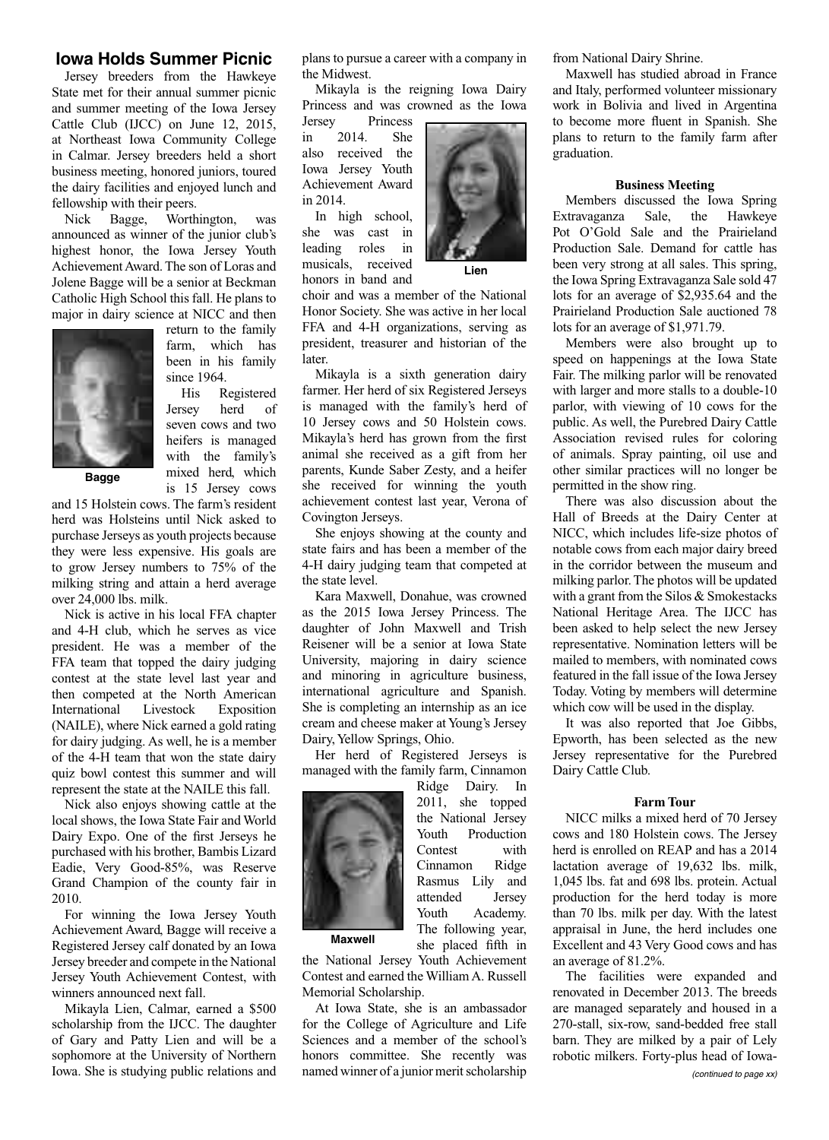## **Iowa Holds Summer Picnic**

Jersey breeders from the Hawkeye State met for their annual summer picnic and summer meeting of the Iowa Jersey Cattle Club (IJCC) on June 12, 2015, at Northeast Iowa Community College in Calmar. Jersey breeders held a short business meeting, honored juniors, toured the dairy facilities and enjoyed lunch and fellowship with their peers.

Nick Bagge, Worthington, was announced as winner of the junior club's highest honor, the Iowa Jersey Youth Achievement Award. The son of Loras and Jolene Bagge will be a senior at Beckman Catholic High School this fall. He plans to major in dairy science at NICC and then



return to the family farm, which has been in his family since 1964.

His Registered Jersey herd of seven cows and two heifers is managed with the family's mixed herd, which is 15 Jersey cows

**Bagge**

and 15 Holstein cows. The farm's resident herd was Holsteins until Nick asked to purchase Jerseys as youth projects because they were less expensive. His goals are to grow Jersey numbers to 75% of the milking string and attain a herd average over 24,000 lbs. milk.

Nick is active in his local FFA chapter and 4-H club, which he serves as vice president. He was a member of the FFA team that topped the dairy judging contest at the state level last year and then competed at the North American International Livestock Exposition (NAILE), where Nick earned a gold rating for dairy judging. As well, he is a member of the 4-H team that won the state dairy quiz bowl contest this summer and will represent the state at the NAILE this fall.

Nick also enjoys showing cattle at the local shows, the Iowa State Fair and World Dairy Expo. One of the first Jerseys he purchased with his brother, Bambis Lizard Eadie, Very Good-85%, was Reserve Grand Champion of the county fair in 2010.

For winning the Iowa Jersey Youth Achievement Award, Bagge will receive a Registered Jersey calf donated by an Iowa Jersey breeder and compete in the National Jersey Youth Achievement Contest, with winners announced next fall.

Mikayla Lien, Calmar, earned a \$500 scholarship from the IJCC. The daughter of Gary and Patty Lien and will be a sophomore at the University of Northern Iowa. She is studying public relations and plans to pursue a career with a company in the Midwest.

Mikayla is the reigning Iowa Dairy Princess and was crowned as the Iowa

Jersey Princess in 2014. She also received the Iowa Jersey Youth Achievement Award in 2014.

In high school, she was cast in leading roles in musicals, received honors in band and



**Lien**

choir and was a member of the National Honor Society. She was active in her local FFA and 4-H organizations, serving as president, treasurer and historian of the later.

Mikayla is a sixth generation dairy farmer. Her herd of six Registered Jerseys is managed with the family's herd of 10 Jersey cows and 50 Holstein cows. Mikayla's herd has grown from the first animal she received as a gift from her parents, Kunde Saber Zesty, and a heifer she received for winning the youth achievement contest last year, Verona of Covington Jerseys.

She enjoys showing at the county and state fairs and has been a member of the 4-H dairy judging team that competed at the state level.

Kara Maxwell, Donahue, was crowned as the 2015 Iowa Jersey Princess. The daughter of John Maxwell and Trish Reisener will be a senior at Iowa State University, majoring in dairy science and minoring in agriculture business, international agriculture and Spanish. She is completing an internship as an ice cream and cheese maker at Young's Jersey Dairy, Yellow Springs, Ohio.

Her herd of Registered Jerseys is managed with the family farm, Cinnamon

> Ridge Dairy. In 2011, she topped the National Jersey Youth Production Contest with Cinnamon Ridge Rasmus Lily and attended Jersey Youth Academy. The following year, she placed fifth in



**Maxwell**

the National Jersey Youth Achievement Contest and earned the William A. Russell Memorial Scholarship.

At Iowa State, she is an ambassador for the College of Agriculture and Life Sciences and a member of the school's honors committee. She recently was named winner of a junior merit scholarship

from National Dairy Shrine.

Maxwell has studied abroad in France and Italy, performed volunteer missionary work in Bolivia and lived in Argentina to become more fluent in Spanish. She plans to return to the family farm after graduation.

## **Business Meeting**

Members discussed the Iowa Spring Extravaganza Sale, the Hawkeye Pot O'Gold Sale and the Prairieland Production Sale. Demand for cattle has been very strong at all sales. This spring, the Iowa Spring Extravaganza Sale sold 47 lots for an average of \$2,935.64 and the Prairieland Production Sale auctioned 78 lots for an average of \$1,971.79.

Members were also brought up to speed on happenings at the Iowa State Fair. The milking parlor will be renovated with larger and more stalls to a double-10 parlor, with viewing of 10 cows for the public. As well, the Purebred Dairy Cattle Association revised rules for coloring of animals. Spray painting, oil use and other similar practices will no longer be permitted in the show ring.

There was also discussion about the Hall of Breeds at the Dairy Center at NICC, which includes life-size photos of notable cows from each major dairy breed in the corridor between the museum and milking parlor. The photos will be updated with a grant from the Silos & Smokestacks National Heritage Area. The IJCC has been asked to help select the new Jersey representative. Nomination letters will be mailed to members, with nominated cows featured in the fall issue of the Iowa Jersey Today. Voting by members will determine which cow will be used in the display.

It was also reported that Joe Gibbs, Epworth, has been selected as the new Jersey representative for the Purebred Dairy Cattle Club.

## **Farm Tour**

NICC milks a mixed herd of 70 Jersey cows and 180 Holstein cows. The Jersey herd is enrolled on REAP and has a 2014 lactation average of 19,632 lbs. milk, 1,045 lbs. fat and 698 lbs. protein. Actual production for the herd today is more than 70 lbs. milk per day. With the latest appraisal in June, the herd includes one Excellent and 43 Very Good cows and has an average of 81.2%.

The facilities were expanded and renovated in December 2013. The breeds are managed separately and housed in a 270-stall, six-row, sand-bedded free stall barn. They are milked by a pair of Lely robotic milkers. Forty-plus head of Iowa-